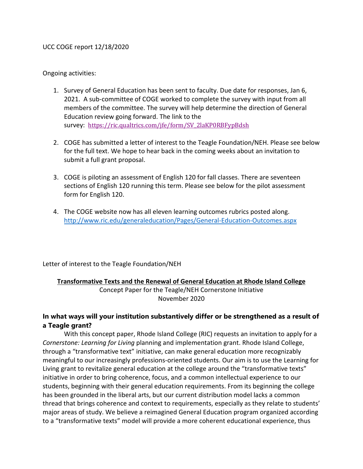## UCC COGE report 12/18/2020

Ongoing activities:

- 1. Survey of General Education has been sent to faculty. Due date for responses, Jan 6, 2021. A sub-committee of COGE worked to complete the survey with input from all members of the committee. The survey will help determine the direction of General Education review going forward. The link to the survey: [https://ric.qualtrics.com/jfe/form/SV\\_2laKP0RBFypBdsh](https://ric.qualtrics.com/jfe/form/SV_2laKP0RBFypBdsh)
- 2. COGE has submitted a letter of interest to the Teagle Foundation/NEH. Please see below for the full text. We hope to hear back in the coming weeks about an invitation to submit a full grant proposal.
- 3. COGE is piloting an assessment of English 120 for fall classes. There are seventeen sections of English 120 running this term. Please see below for the pilot assessment form for English 120.
- 4. The COGE website now has all eleven learning outcomes rubrics posted along. <http://www.ric.edu/generaleducation/Pages/General-Education-Outcomes.aspx>

Letter of interest to the Teagle Foundation/NEH

## **Transformative Texts and the Renewal of General Education at Rhode Island College**

Concept Paper for the Teagle/NEH Cornerstone Initiative November 2020

# **In what ways will your institution substantively differ or be strengthened as a result of a Teagle grant?**

With this concept paper, Rhode Island College (RIC) requests an invitation to apply for a *Cornerstone: Learning for Living* planning and implementation grant. Rhode Island College, through a "transformative text" initiative, can make general education more recognizably meaningful to our increasingly professions-oriented students. Our aim is to use the Learning for Living grant to revitalize general education at the college around the "transformative texts" initiative in order to bring coherence, focus, and a common intellectual experience to our students, beginning with their general education requirements. From its beginning the college has been grounded in the liberal arts, but our current distribution model lacks a common thread that brings coherence and context to requirements, especially as they relate to students' major areas of study. We believe a reimagined General Education program organized according to a "transformative texts" model will provide a more coherent educational experience, thus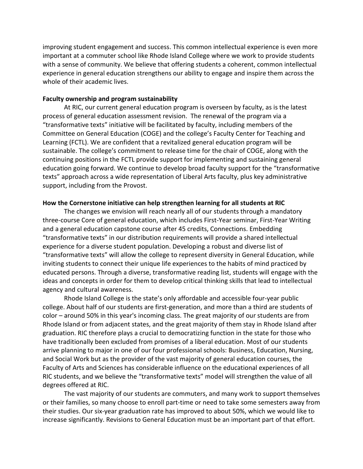improving student engagement and success. This common intellectual experience is even more important at a commuter school like Rhode Island College where we work to provide students with a sense of community. We believe that offering students a coherent, common intellectual experience in general education strengthens our ability to engage and inspire them across the whole of their academic lives.

### **Faculty ownership and program sustainability**

At RIC, our current general education program is overseen by faculty, as is the latest process of general education assessment revision. The renewal of the program via a "transformative texts" initiative will be facilitated by faculty, including members of the Committee on General Education (COGE) and the college's Faculty Center for Teaching and Learning (FCTL). We are confident that a revitalized general education program will be sustainable. The college's commitment to release time for the chair of COGE, along with the continuing positions in the FCTL provide support for implementing and sustaining general education going forward. We continue to develop broad faculty support for the "transformative texts" approach across a wide representation of Liberal Arts faculty, plus key administrative support, including from the Provost.

## **How the Cornerstone initiative can help strengthen learning for all students at RIC**

The changes we envision will reach nearly all of our students through a mandatory three-course Core of general education, which includes First-Year seminar, First-Year Writing and a general education capstone course after 45 credits, Connections. Embedding "transformative texts" in our distribution requirements will provide a shared intellectual experience for a diverse student population. Developing a robust and diverse list of "transformative texts" will allow the college to represent diversity in General Education, while inviting students to connect their unique life experiences to the habits of mind practiced by educated persons. Through a diverse, transformative reading list, students will engage with the ideas and concepts in order for them to develop critical thinking skills that lead to intellectual agency and cultural awareness.

Rhode Island College is the state's only affordable and accessible four-year public college. About half of our students are first-generation, and more than a third are students of color – around 50% in this year's incoming class. The great majority of our students are from Rhode Island or from adjacent states, and the great majority of them stay in Rhode Island after graduation. RIC therefore plays a crucial to democratizing function in the state for those who have traditionally been excluded from promises of a liberal education. Most of our students arrive planning to major in one of our four professional schools: Business, Education, Nursing, and Social Work but as the provider of the vast majority of general education courses, the Faculty of Arts and Sciences has considerable influence on the educational experiences of all RIC students, and we believe the "transformative texts" model will strengthen the value of all degrees offered at RIC.

The vast majority of our students are commuters, and many work to support themselves or their families, so many choose to enroll part-time or need to take some semesters away from their studies. Our six-year graduation rate has improved to about 50%, which we would like to increase significantly. Revisions to General Education must be an important part of that effort.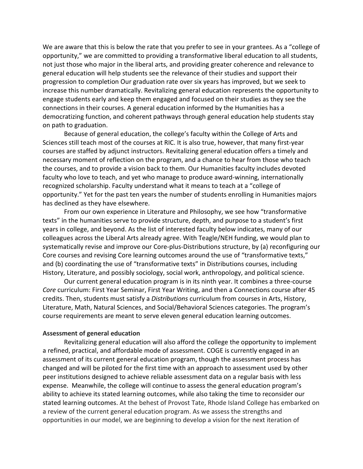We are aware that this is below the rate that you prefer to see in your grantees. As a "college of opportunity," we are committed to providing a transformative liberal education to all students, not just those who major in the liberal arts, and providing greater coherence and relevance to general education will help students see the relevance of their studies and support their progression to completion Our graduation rate over six years has improved, but we seek to increase this number dramatically. Revitalizing general education represents the opportunity to engage students early and keep them engaged and focused on their studies as they see the connections in their courses. A general education informed by the Humanities has a democratizing function, and coherent pathways through general education help students stay on path to graduation.

Because of general education, the college's faculty within the College of Arts and Sciences still teach most of the courses at RIC. It is also true, however, that many first-year courses are staffed by adjunct instructors. Revitalizing general education offers a timely and necessary moment of reflection on the program, and a chance to hear from those who teach the courses, and to provide a vision back to them. Our Humanities faculty includes devoted faculty who love to teach, and yet who manage to produce award-winning, internationally recognized scholarship. Faculty understand what it means to teach at a "college of opportunity." Yet for the past ten years the number of students enrolling in Humanities majors has declined as they have elsewhere.

From our own experience in Literature and Philosophy, we see how "transformative texts" in the humanities serve to provide structure, depth, and purpose to a student's first years in college, and beyond. As the list of interested faculty below indicates, many of our colleagues across the Liberal Arts already agree. With Teagle/NEH funding, we would plan to systematically revise and improve our Core-plus-Distributions structure, by (a) reconfiguring our Core courses and revising Core learning outcomes around the use of "transformative texts," and (b) coordinating the use of "transformative texts" in Distributions courses, including History, Literature, and possibly sociology, social work, anthropology, and political science.

Our current general education program is in its ninth year. It combines a three-course *Core* curriculum: First Year Seminar, First Year Writing, and then a Connections course after 45 credits. Then, students must satisfy a *Distributions* curriculum from courses in Arts, History, Literature, Math, Natural Sciences, and Social/Behavioral Sciences categories. The program's course requirements are meant to serve eleven general education learning outcomes.

#### **Assessment of general education**

Revitalizing general education will also afford the college the opportunity to implement a refined, practical, and affordable mode of assessment. COGE is currently engaged in an assessment of its current general education program, though the assessment process has changed and will be piloted for the first time with an approach to assessment used by other peer institutions designed to achieve reliable assessment data on a regular basis with less expense. Meanwhile, the college will continue to assess the general education program's ability to achieve its stated learning outcomes, while also taking the time to reconsider our stated learning outcomes. At the behest of Provost Tate, Rhode Island College has embarked on a review of the current general education program. As we assess the strengths and opportunities in our model, we are beginning to develop a vision for the next iteration of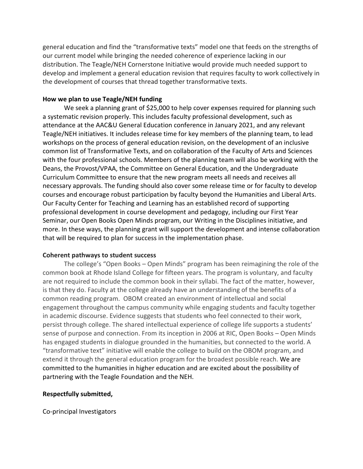general education and find the "transformative texts" model one that feeds on the strengths of our current model while bringing the needed coherence of experience lacking in our distribution. The Teagle/NEH Cornerstone Initiative would provide much needed support to develop and implement a general education revision that requires faculty to work collectively in the development of courses that thread together transformative texts.

## **How we plan to use Teagle/NEH funding**

We seek a planning grant of \$25,000 to help cover expenses required for planning such a systematic revision properly. This includes faculty professional development, such as attendance at the AAC&U General Education conference in January 2021, and any relevant Teagle/NEH initiatives. It includes release time for key members of the planning team, to lead workshops on the process of general education revision, on the development of an inclusive common list of Transformative Texts, and on collaboration of the Faculty of Arts and Sciences with the four professional schools. Members of the planning team will also be working with the Deans, the Provost/VPAA, the Committee on General Education, and the Undergraduate Curriculum Committee to ensure that the new program meets all needs and receives all necessary approvals. The funding should also cover some release time or for faculty to develop courses and encourage robust participation by faculty beyond the Humanities and Liberal Arts. Our Faculty Center for Teaching and Learning has an established record of supporting professional development in course development and pedagogy, including our First Year Seminar, our Open Books Open Minds program, our Writing in the Disciplines initiative, and more. In these ways, the planning grant will support the development and intense collaboration that will be required to plan for success in the implementation phase.

# **Coherent pathways to student success**

The college's "Open Books – Open Minds" program has been reimagining the role of the common book at Rhode Island College for fifteen years. The program is voluntary, and faculty are not required to include the common book in their syllabi. The fact of the matter, however, is that they do. Faculty at the college already have an understanding of the benefits of a common reading program. OBOM created an environment of intellectual and social engagement throughout the campus community while engaging students and faculty together in academic discourse. Evidence suggests that students who feel connected to their work, persist through college. The shared intellectual experience of college life supports a students' sense of purpose and connection. From its inception in 2006 at RIC, Open Books – Open Minds has engaged students in dialogue grounded in the humanities, but connected to the world. A "transformative text" initiative will enable the college to build on the OBOM program, and extend it through the general education program for the broadest possible reach. We are committed to the humanities in higher education and are excited about the possibility of partnering with the Teagle Foundation and the NEH.

# **Respectfully submitted,**

Co-principal Investigators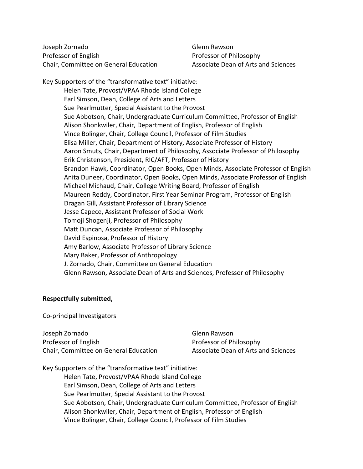Joseph Zornado Glenn Rawson Professor of English Professor of Philosophy Chair, Committee on General Education Associate Dean of Arts and Sciences

Key Supporters of the "transformative text" initiative: Helen Tate, Provost/VPAA Rhode Island College Earl Simson, Dean, College of Arts and Letters Sue Pearlmutter, Special Assistant to the Provost Sue Abbotson, Chair, Undergraduate Curriculum Committee, Professor of English Alison Shonkwiler, Chair, Department of English, Professor of English Vince Bolinger, Chair, College Council, Professor of Film Studies Elisa Miller, Chair, Department of History, Associate Professor of History Aaron Smuts, Chair, Department of Philosophy, Associate Professor of Philosophy Erik Christenson, President, RIC/AFT, Professor of History Brandon Hawk, Coordinator, Open Books, Open Minds, Associate Professor of English Anita Duneer, Coordinator, Open Books, Open Minds, Associate Professor of English Michael Michaud, Chair, College Writing Board, Professor of English Maureen Reddy, Coordinator, First Year Seminar Program, Professor of English Dragan Gill, Assistant Professor of Library Science Jesse Capece, Assistant Professor of Social Work Tomoji Shogenji, Professor of Philosophy Matt Duncan, Associate Professor of Philosophy David Espinosa, Professor of History Amy Barlow, Associate Professor of Library Science Mary Baker, Professor of Anthropology J. Zornado, Chair, Committee on General Education Glenn Rawson, Associate Dean of Arts and Sciences, Professor of Philosophy

#### **Respectfully submitted,**

Co-principal Investigators

Joseph Zornado Glenn Rawson Professor of English Professor of Philosophy Chair, Committee on General Education Associate Dean of Arts and Sciences

Key Supporters of the "transformative text" initiative: Helen Tate, Provost/VPAA Rhode Island College Earl Simson, Dean, College of Arts and Letters Sue Pearlmutter, Special Assistant to the Provost Sue Abbotson, Chair, Undergraduate Curriculum Committee, Professor of English Alison Shonkwiler, Chair, Department of English, Professor of English Vince Bolinger, Chair, College Council, Professor of Film Studies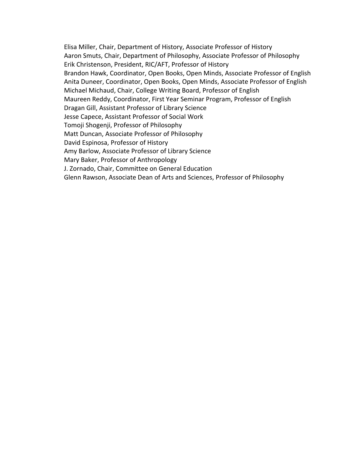Elisa Miller, Chair, Department of History, Associate Professor of History Aaron Smuts, Chair, Department of Philosophy, Associate Professor of Philosophy Erik Christenson, President, RIC/AFT, Professor of History Brandon Hawk, Coordinator, Open Books, Open Minds, Associate Professor of English Anita Duneer, Coordinator, Open Books, Open Minds, Associate Professor of English Michael Michaud, Chair, College Writing Board, Professor of English Maureen Reddy, Coordinator, First Year Seminar Program, Professor of English Dragan Gill, Assistant Professor of Library Science Jesse Capece, Assistant Professor of Social Work Tomoji Shogenji, Professor of Philosophy Matt Duncan, Associate Professor of Philosophy David Espinosa, Professor of History Amy Barlow, Associate Professor of Library Science Mary Baker, Professor of Anthropology J. Zornado, Chair, Committee on General Education Glenn Rawson, Associate Dean of Arts and Sciences, Professor of Philosophy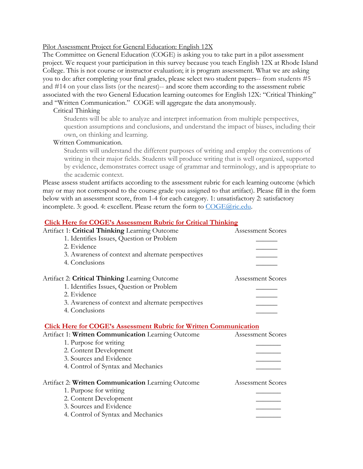#### Pilot Assessment Project for General Education: English 12X

The Committee on General Education (COGE) is asking you to take part in a pilot assessment project. We request your participation in this survey because you teach English 12X at Rhode Island College. This is not course or instructor evaluation; it is program assessment. What we are asking you to do: after completing your final grades, please select two student papers-- from students #5 and #14 on your class lists (or the nearest)-- and score them according to the assessment rubric associated with the two General Education learning outcomes for English 12X: "Critical Thinking" and "Written Communication." COGE will aggregate the data anonymously.

### Critical Thinking

Students will be able to analyze and interpret information from multiple perspectives, question assumptions and conclusions, and understand the impact of biases, including their own, on thinking and learning.

### Written Communication.

Students will understand the different purposes of writing and employ the conventions of writing in their major fields. Students will produce writing that is well organized, supported by evidence, demonstrates correct usage of grammar and terminology, and is appropriate to the academic context.

Please assess student artifacts according to the assessment rubric for each learning outcome (which may or may not correspond to the course grade you assigned to that artifact). Please fill in the form below with an assessment score, from 1-4 for each category. 1: unsatisfactory 2: satisfactory incomplete. 3: good. 4: excellent. Please return the form to [COGE@ric.edu.](mailto:COGE@ric.edu)

## **[Click Here for COGE's Assessment Rubric for Critical Thinking](http://www.ric.edu/generaleducation/Documents/Assessment-Rubric-Critical-Thinking.pdf)**

| Artifact 1: Critical Thinking Learning Outcome                           | <b>Assessment Scores</b> |
|--------------------------------------------------------------------------|--------------------------|
| 1. Identifies Issues, Question or Problem                                |                          |
| 2. Evidence                                                              |                          |
| 3. Awareness of context and alternate perspectives                       |                          |
| 4. Conclusions                                                           |                          |
| Artifact 2: Critical Thinking Learning Outcome                           | <b>Assessment Scores</b> |
| 1. Identifies Issues, Question or Problem                                |                          |
| 2. Evidence                                                              |                          |
| 3. Awareness of context and alternate perspectives                       |                          |
| 4. Conclusions                                                           |                          |
| <b>Click Here for COGE's Assessment Rubric for Written Communication</b> |                          |
| Artifact 1: Written Communication Learning Outcome                       | <b>Assessment Scores</b> |
| 1. Purpose for writing                                                   |                          |
| 2. Content Development                                                   |                          |
|                                                                          |                          |
| 3. Sources and Evidence                                                  |                          |
| 4. Control of Syntax and Mechanics                                       |                          |
| Artifact 2: Written Communication Learning Outcome                       | <b>Assessment Scores</b> |
| 1. Purpose for writing                                                   |                          |
| 2. Content Development                                                   |                          |
| 3. Sources and Evidence                                                  |                          |
| 4. Control of Syntax and Mechanics                                       |                          |